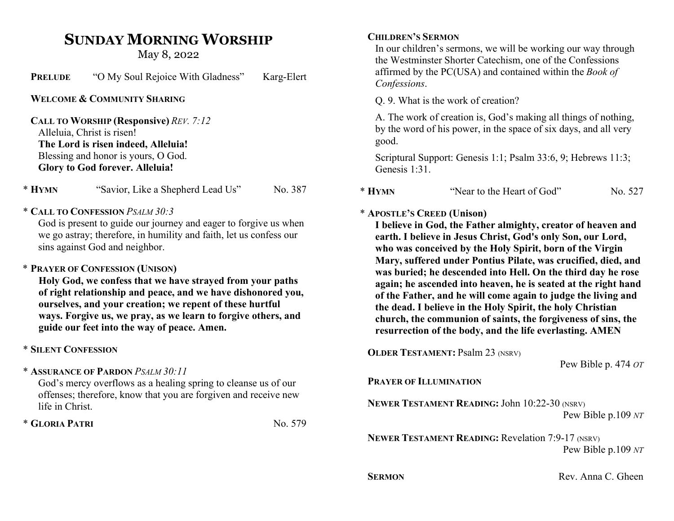# SUNDAY MORNING WORSHIP

May 8, 2022

| <b>PRELUDE</b> | "O My Soul Rejoice With Gladness" | Karg-Elert |
|----------------|-----------------------------------|------------|
|----------------|-----------------------------------|------------|

WELCOME & COMMUNITY SHARING

CALL TO WORSHIP (Responsive) REV. 7:12 Alleluia, Christ is risen! The Lord is risen indeed, Alleluia! Blessing and honor is yours, O God. Glory to God forever. Alleluia!

\* HYMN "Savior, Like a Shepherd Lead Us" No. 387

### \* CALL TO CONFESSION PSALM 30:3

God is present to guide our journey and eager to forgive us when we go astray; therefore, in humility and faith, let us confess our sins against God and neighbor.

# \* PRAYER OF CONFESSION (UNISON)

Holy God, we confess that we have strayed from your paths of right relationship and peace, and we have dishonored you, ourselves, and your creation; we repent of these hurtful ways. Forgive us, we pray, as we learn to forgive others, and guide our feet into the way of peace. Amen.

# \* SILENT CONFESSION

\* ASSURANCE OF PARDON PSALM 30:11

God's mercy overflows as a healing spring to cleanse us of our offenses; therefore, know that you are forgiven and receive new life in Christ.

 $*$  GLORIA PATRI  $N_0$ , 579

#### CHILDREN'S SERMON

In our children's sermons, we will be working our way through the Westminster Shorter Catechism, one of the Confessions affirmed by the PC(USA) and contained within the Book of Confessions.

Q. 9. What is the work of creation?

A. The work of creation is, God's making all things of nothing, by the word of his power, in the space of six days, and all very good.

Scriptural Support: Genesis 1:1; Psalm 33:6, 9; Hebrews 11:3; Genesis 1:31.

| $*$ Hymn<br>"Near to the Heart of God" | No. 527 |
|----------------------------------------|---------|
|----------------------------------------|---------|

# \* APOSTLE'S CREED (Unison)

I believe in God, the Father almighty, creator of heaven and earth. I believe in Jesus Christ, God's only Son, our Lord, who was conceived by the Holy Spirit, born of the Virgin Mary, suffered under Pontius Pilate, was crucified, died, and was buried; he descended into Hell. On the third day he rose again; he ascended into heaven, he is seated at the right hand of the Father, and he will come again to judge the living and the dead. I believe in the Holy Spirit, the holy Christian church, the communion of saints, the forgiveness of sins, the resurrection of the body, and the life everlasting. AMEN

OLDER TESTAMENT: Psalm 23 (NSRV)

Pew Bible p. 474 OT

### PRAYER OF ILLUMINATION

NEWER TESTAMENT READING: John 10:22-30 (NSRV)

Pew Bible p.109 NT

NEWER TESTAMENT READING: Revelation 7:9-17 (NSRV) Pew Bible p.109 NT

SERMON Rev. Anna C. Gheen